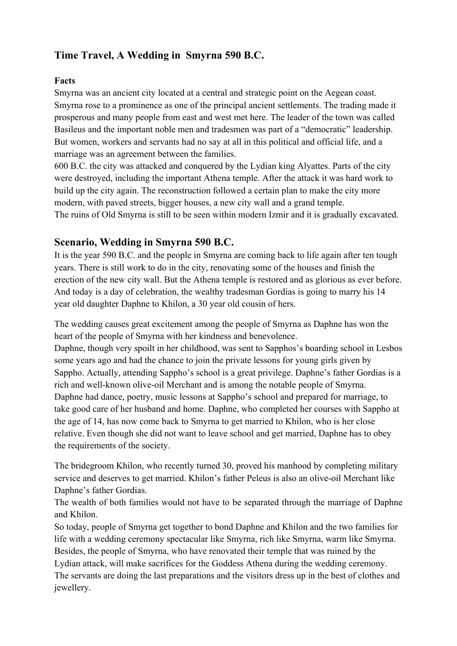# **Time Travel, A Wedding in Smyrna 590 B.C.**

## **Facts**

Smyrna was an ancient city located at a central and strategic point on the Aegean coast. Smyrna rose to a prominence as one of the principal ancient settlements. The trading made it prosperous and many people from east and west met here. The leader of the town was called Basileus and the important noble men and tradesmen was part of a "democratic" leadership. But women, workers and servants had no say at all in this political and official life, and a marriage was an agreement between the families.

600 B.C. the city was attacked and conquered by the Lydian king Alyattes. Parts of the city were destroyed, including the important Athena temple. After the attack it was hard work to build up the city again. The reconstruction followed a certain plan to make the city more modern, with paved streets, bigger houses, a new city wall and a grand temple. The ruins of Old Smyrna is still to be seen within modern Izmir and it is gradually excavated.

# **Scenario, Wedding in Smyrna 590 B.C.**

It is the year 590 B.C. and the people in Smyrna are coming back to life again after ten tough years. There is still work to do in the city, renovating some of the houses and finish the erection of the new city wall. But the Athena temple is restored and as glorious as ever before. And today is a day of celebration, the wealthy tradesman Gordias is going to marry his 14 year old daughter Daphne to Khilon, a 30 year old cousin of hers.

The wedding causes great excitement among the people of Smyrna as Daphne has won the heart of the people of Smyrna with her kindness and benevolence.

Daphne, though very spoilt in her childhood, was sent to Sapphos's boarding school in Lesbos some years ago and had the chance to join the private lessons for young girls given by Sappho. Actually, attending Sappho's school is a great privilege. Daphne's father Gordias is a rich and well-known olive-oil Merchant and is among the notable people of Smyrna. Daphne had dance, poetry, music lessons at Sappho's school and prepared for marriage, to take good care of her husband and home. Daphne, who completed her courses with Sappho at the age of 14, has now come back to Smyrna to get married to Khilon, who is her close relative. Even though she did not want to leave school and get married, Daphne has to obey the requirements of the society.

The bridegroom Khilon, who recently turned 30, proved his manhood by completing military service and deserves to get married. Khilon's father Peleus is also an olive-oil Merchant like Daphne's father Gordias.

The wealth of both families would not have to be separated through the marriage of Daphne and Khilon.

So today, people of Smyrna get together to bond Daphne and Khilon and the two families for life with a wedding ceremony spectacular like Smyrna, rich like Smyrna, warm like Smyrna. Besides, the people of Smyrna, who have renovated their temple that was ruined by the Lydian attack, will make sacrifices for the Goddess Athena during the wedding ceremony. The servants are doing the last preparations and the visitors dress up in the best of clothes and jewellery.